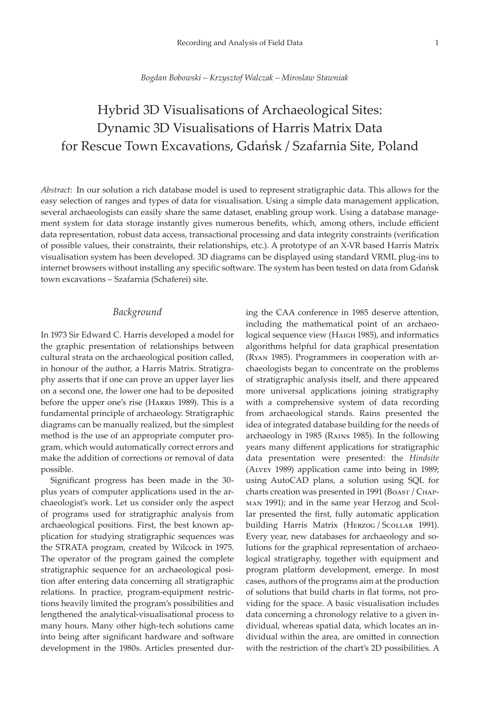#### *Bogdan Bobowski – Krzysztof Walczak – Miroslaw Stawniak*

# Hybrid 3D Visualisations of Archaeological Sites: Dynamic 3D Visualisations of Harris Matrix Data for Rescue Town Excavations, Gdańsk / Szafarnia Site, Poland

*Abstract*: In our solution a rich database model is used to represent stratigraphic data. This allows for the easy selection of ranges and types of data for visualisation. Using a simple data management application, several archaeologists can easily share the same dataset, enabling group work. Using a database management system for data storage instantly gives numerous benefits, which, among others, include efficient data representation, robust data access, transactional processing and data integrity constraints (verification of possible values, their constraints, their relationships, etc.). A prototype of an X-VR based Harris Matrix visualisation system has been developed. 3D diagrams can be displayed using standard VRML plug-ins to internet browsers without installing any specific software. The system has been tested on data from Gdańsk town excavations – Szafarnia (Schaferei) site.

### *Background*

In 1973 Sir Edward C. Harris developed a model for the graphic presentation of relationships between cultural strata on the archaeological position called, in honour of the author, a Harris Matrix. Stratigraphy asserts that if one can prove an upper layer lies on a second one, the lower one had to be deposited before the upper one's rise (HARRIS 1989). This is a fundamental principle of archaeology. Stratigraphic diagrams can be manually realized, but the simplest method is the use of an appropriate computer program, which would automatically correct errors and make the addition of corrections or removal of data possible.

Significant progress has been made in the 30 plus years of computer applications used in the archaeologist's work. Let us consider only the aspect of programs used for stratigraphic analysis from archaeological positions. First, the best known application for studying stratigraphic sequences was the STRATA program, created by Wilcock in 1975. The operator of the program gained the complete stratigraphic sequence for an archaeological position after entering data concerning all stratigraphic relations. In practice, program-equipment restrictions heavily limited the program's possibilities and lengthened the analytical-visualisational process to many hours. Many other high-tech solutions came into being after significant hardware and software development in the 1980s. Articles presented dur-

ing the CAA conference in 1985 deserve attention, including the mathematical point of an archaeological sequence view (Haigh 1985), and informatics algorithms helpful for data graphical presentation (Ryan 1985). Programmers in cooperation with archaeologists began to concentrate on the problems of stratigraphic analysis itself, and there appeared more universal applications joining stratigraphy with a comprehensive system of data recording from archaeological stands. Rains presented the idea of integrated database building for the needs of archaeology in 1985 (Rains 1985). In the following years many different applications for stratigraphic data presentation were presented: the *Hindsite* (Alvey 1989) application came into being in 1989; using AutoCAD plans, a solution using SQL for charts creation was presented in 1991 (BOAST / CHAPman 1991); and in the same year Herzog and Scollar presented the first, fully automatic application building Harris Matrix (HERZOG / SCOLLAR 1991). Every year, new databases for archaeology and solutions for the graphical representation of archaeological stratigraphy, together with equipment and program platform development, emerge. In most cases, authors of the programs aim at the production of solutions that build charts in flat forms, not providing for the space. A basic visualisation includes data concerning a chronology relative to a given individual, whereas spatial data, which locates an individual within the area, are omitted in connection with the restriction of the chart's 2D possibilities. A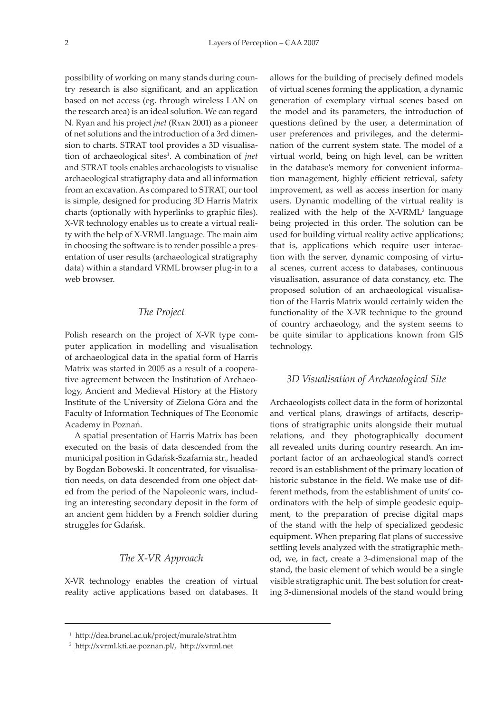possibility of working on many stands during country research is also significant, and an application based on net access (eg. through wireless LAN on the research area) is an ideal solution. We can regard N. Ryan and his project *jnet* (Ryan 2001) as a pioneer of net solutions and the introduction of a 3rd dimension to charts. STRAT tool provides a 3D visualisation of archaeological sites<sup>1</sup>. A combination of *jnet* and STRAT tools enables archaeologists to visualise archaeological stratigraphy data and all information from an excavation. As compared to STRAT, our tool is simple, designed for producing 3D Harris Matrix charts (optionally with hyperlinks to graphic files). X-VR technology enables us to create a virtual reality with the help of X-VRML language. The main aim in choosing the software is to render possible a presentation of user results (archaeological stratigraphy data) within a standard VRML browser plug-in to a web browser.

## *The Project*

Polish research on the project of X-VR type computer application in modelling and visualisation of archaeological data in the spatial form of Harris Matrix was started in 2005 as a result of a cooperative agreement between the Institution of Archaeology, Ancient and Medieval History at the History Institute of the University of Zielona Góra and the Faculty of Information Techniques of The Economic Academy in Poznań.

A spatial presentation of Harris Matrix has been executed on the basis of data descended from the municipal position in Gdan´sk-Szafarnia str., headed by Bogdan Bobowski. It concentrated, for visualisation needs, on data descended from one object dated from the period of the Napoleonic wars, including an interesting secondary deposit in the form of an ancient gem hidden by a French soldier during struggles for Gdańsk.

#### *The X-VR Approach*

X-VR technology enables the creation of virtual reality active applications based on databases. It

allows for the building of precisely defined models of virtual scenes forming the application, a dynamic generation of exemplary virtual scenes based on the model and its parameters, the introduction of questions defined by the user, a determination of user preferences and privileges, and the determination of the current system state. The model of a virtual world, being on high level, can be written in the database's memory for convenient information management, highly efficient retrieval, safety improvement, as well as access insertion for many users. Dynamic modelling of the virtual reality is realized with the help of the  $X-VRML^2$  language being projected in this order. The solution can be used for building virtual reality active applications; that is, applications which require user interaction with the server, dynamic composing of virtual scenes, current access to databases, continuous visualisation, assurance of data constancy, etc. The proposed solution of an archaeological visualisation of the Harris Matrix would certainly widen the functionality of the X-VR technique to the ground of country archaeology, and the system seems to be quite similar to applications known from GIS technology.

### *3D Visualisation of Archaeological Site*

Archaeologists collect data in the form of horizontal and vertical plans, drawings of artifacts, descriptions of stratigraphic units alongside their mutual relations, and they photographically document all revealed units during country research. An important factor of an archaeological stand's correct record is an establishment of the primary location of historic substance in the field. We make use of different methods, from the establishment of units' coordinators with the help of simple geodesic equipment, to the preparation of precise digital maps of the stand with the help of specialized geodesic equipment. When preparing flat plans of successive settling levels analyzed with the stratigraphic method, we, in fact, create a 3-dimensional map of the stand, the basic element of which would be a single visible stratigraphic unit. The best solution for creating 3-dimensional models of the stand would bring

<sup>1</sup> [http://dea.brunel.ac.uk/project/murale/strat.ht](http://dea.brunel.ac.uk/project/murale/strat.htm)m

<sup>2</sup> <http://xvrml.kti.ae.poznan.pl/>, [http://xvrml.ne](http://xvrml.net)t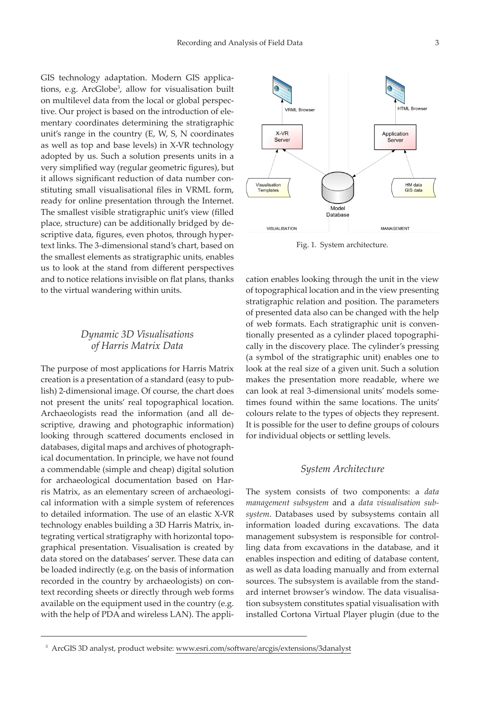GIS technology adaptation. Modern GIS applications, e.g. ArcGlobe<sup>3</sup>, allow for visualisation built on multilevel data from the local or global perspective. Our project is based on the introduction of elementary coordinates determining the stratigraphic unit's range in the country (E, W, S, N coordinates as well as top and base levels) in X-VR technology adopted by us. Such a solution presents units in a very simplified way (regular geometric figures), but it allows significant reduction of data number constituting small visualisational files in VRML form, ready for online presentation through the Internet. The smallest visible stratigraphic unit's view (filled place, structure) can be additionally bridged by descriptive data, figures, even photos, through hypertext links. The 3-dimensional stand's chart, based on the smallest elements as stratigraphic units, enables us to look at the stand from different perspectives and to notice relations invisible on flat plans, thanks to the virtual wandering within units.

# *Dynamic 3D Visualisations of Harris Matrix Data*

The purpose of most applications for Harris Matrix creation is a presentation of a standard (easy to publish) 2-dimensional image. Of course, the chart does not present the units' real topographical location. Archaeologists read the information (and all descriptive, drawing and photographic information) looking through scattered documents enclosed in databases, digital maps and archives of photographical documentation. In principle, we have not found a commendable (simple and cheap) digital solution for archaeological documentation based on Harris Matrix, as an elementary screen of archaeological information with a simple system of references to detailed information. The use of an elastic X-VR technology enables building a 3D Harris Matrix, integrating vertical stratigraphy with horizontal topographical presentation. Visualisation is created by data stored on the databases' server. These data can be loaded indirectly (e.g. on the basis of information recorded in the country by archaeologists) on context recording sheets or directly through web forms available on the equipment used in the country (e.g. with the help of PDA and wireless LAN). The appli-



Fig. 1. System architecture.

cation enables looking through the unit in the view of topographical location and in the view presenting stratigraphic relation and position. The parameters of presented data also can be changed with the help of web formats. Each stratigraphic unit is conventionally presented as a cylinder placed topographically in the discovery place. The cylinder's pressing (a symbol of the stratigraphic unit) enables one to look at the real size of a given unit. Such a solution makes the presentation more readable, where we can look at real 3-dimensional units' models sometimes found within the same locations. The units' colours relate to the types of objects they represent. It is possible for the user to define groups of colours for individual objects or settling levels.

### *System Architecture*

The system consists of two components: a *data management subsystem* and a *data visualisation subsystem*. Databases used by subsystems contain all information loaded during excavations. The data management subsystem is responsible for controlling data from excavations in the database, and it enables inspection and editing of database content, as well as data loading manually and from external sources. The subsystem is available from the standard internet browser's window. The data visualisation subsystem constitutes spatial visualisation with installed Cortona Virtual Player plugin (due to the

<sup>3</sup> ArcGIS 3D analyst, product website: [www.esri.com/software/arcgis/extensions/3danalys](http://www.esri.com/software/arcgis/extensions/3danalyst)t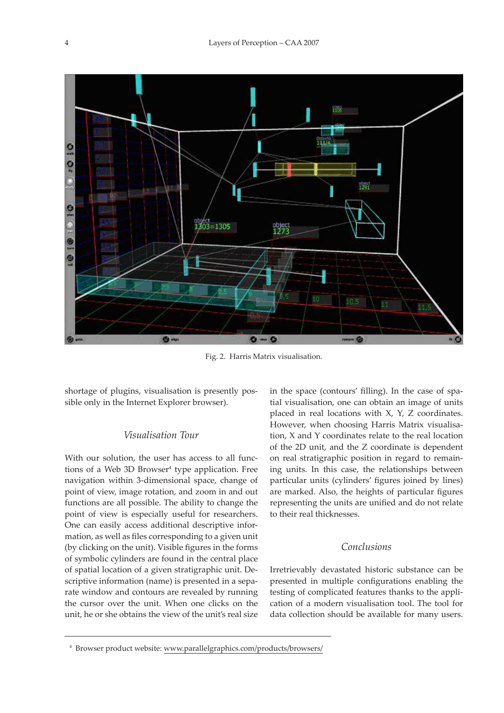

Fig. 2. Harris Matrix visualisation.

shortage of plugins, visualisation is presently possible only in the Internet Explorer browser).

## *Visualisation Tour*

With our solution, the user has access to all functions of a Web 3D Browser<sup>4</sup> type application. Free navigation within 3-dimensional space, change of point of view, image rotation, and zoom in and out functions are all possible. The ability to change the point of view is especially useful for researchers. One can easily access additional descriptive information, as well as files corresponding to a given unit (by clicking on the unit). Visible figures in the forms of symbolic cylinders are found in the central place of spatial location of a given stratigraphic unit. Descriptive information (name) is presented in a separate window and contours are revealed by running the cursor over the unit. When one clicks on the unit, he or she obtains the view of the unit's real size in the space (contours' filling). In the case of spatial visualisation, one can obtain an image of units placed in real locations with X, Y, Z coordinates. However, when choosing Harris Matrix visualisation, X and Y coordinates relate to the real location of the 2D unit, and the Z coordinate is dependent on real stratigraphic position in regard to remaining units. In this case, the relationships between particular units (cylinders' figures joined by lines) are marked. Also, the heights of particular figures representing the units are unified and do not relate to their real thicknesses.

## *Conclusions*

Irretrievably devastated historic substance can be presented in multiple configurations enabling the testing of complicated features thanks to the application of a modern visualisation tool. The tool for data collection should be available for many users.

<sup>4</sup> Browser product website: [www.parallelgraphics.com/products/browsers/](http://www.parallelgraphics.com/products/browsers/)